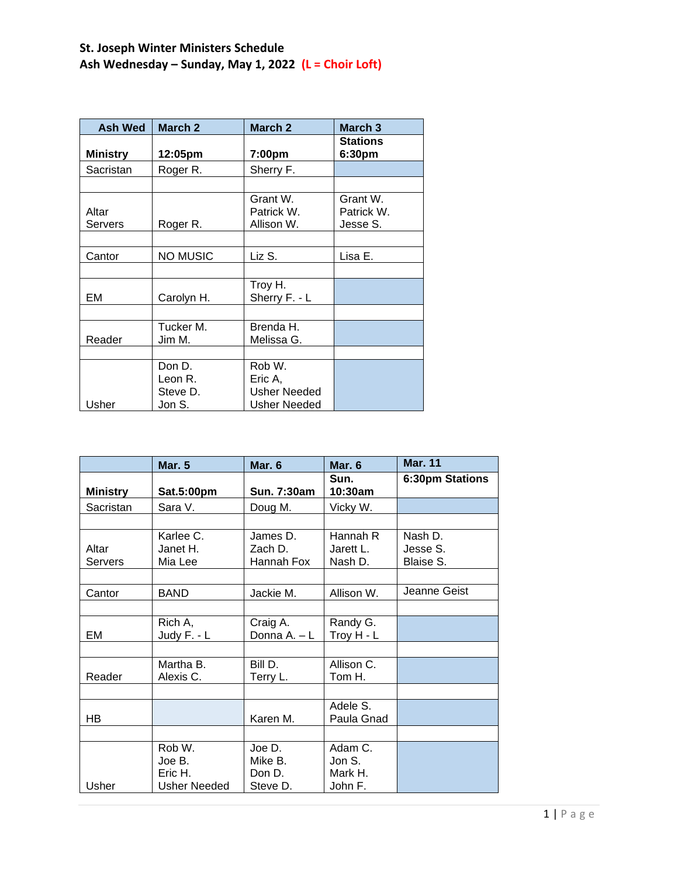# **St. Joseph Winter Ministers Schedule Ash Wednesday – Sunday, May 1, 2022 (L = Choir Loft)**

| <b>Ash Wed</b>   | March 2                                 | March 2                                           | March 3                            |
|------------------|-----------------------------------------|---------------------------------------------------|------------------------------------|
| <b>Ministry</b>  | 12:05pm                                 | 7:00pm                                            | <b>Stations</b><br>6:30pm          |
| Sacristan        | Roger R.                                | Sherry F.                                         |                                    |
|                  |                                         |                                                   |                                    |
| Altar<br>Servers | Roger R.                                | Grant W.<br>Patrick W.<br>Allison W.              | Grant W.<br>Patrick W.<br>Jesse S. |
|                  |                                         |                                                   |                                    |
| Cantor           | <b>NO MUSIC</b>                         | Liz S.                                            | Lisa E.                            |
|                  |                                         |                                                   |                                    |
| EM               | Carolyn H.                              | Troy H.<br>Sherry F. - L                          |                                    |
|                  |                                         |                                                   |                                    |
| Reader           | Tucker M.<br>Jim M.                     | Brenda H.<br>Melissa G.                           |                                    |
|                  |                                         |                                                   |                                    |
| Usher            | Don D.<br>Leon R.<br>Steve D.<br>Jon S. | Rob W.<br>Eric A.<br>Usher Needed<br>Usher Needed |                                    |

|                 | <b>Mar. 5</b>       | Mar. 6       | Mar. 6          | <b>Mar. 11</b>  |
|-----------------|---------------------|--------------|-----------------|-----------------|
| <b>Ministry</b> | Sat.5:00pm          | Sun. 7:30am  | Sun.<br>10:30am | 6:30pm Stations |
| Sacristan       | Sara V.             | Doug M.      | Vicky W.        |                 |
|                 |                     |              |                 |                 |
|                 | Karlee C.           | James D.     | Hannah R        | Nash D.         |
| Altar           | Janet H.            | Zach D.      | Jarett L.       | Jesse S.        |
| Servers         | Mia Lee             | Hannah Fox   | Nash D.         | Blaise S.       |
|                 |                     |              |                 |                 |
| Cantor          | <b>BAND</b>         | Jackie M.    | Allison W.      | Jeanne Geist    |
|                 |                     |              |                 |                 |
|                 | Rich A,             | Craig A.     | Randy G.        |                 |
| EM              | Judy F. - L         | Donna A. - L | Troy H - L      |                 |
|                 |                     |              |                 |                 |
|                 | Martha B.           | Bill D.      | Allison C.      |                 |
| Reader          | Alexis C.           | Terry L.     | Tom H.          |                 |
|                 |                     |              |                 |                 |
|                 |                     |              | Adele S.        |                 |
| HB.             |                     | Karen M.     | Paula Gnad      |                 |
|                 |                     |              |                 |                 |
|                 | Rob W.              | Joe D.       | Adam C.         |                 |
|                 | Joe B.              | Mike B.      | Jon S.          |                 |
|                 | Eric H.             | Don D.       | Mark H.         |                 |
| Usher           | <b>Usher Needed</b> | Steve D.     | John F.         |                 |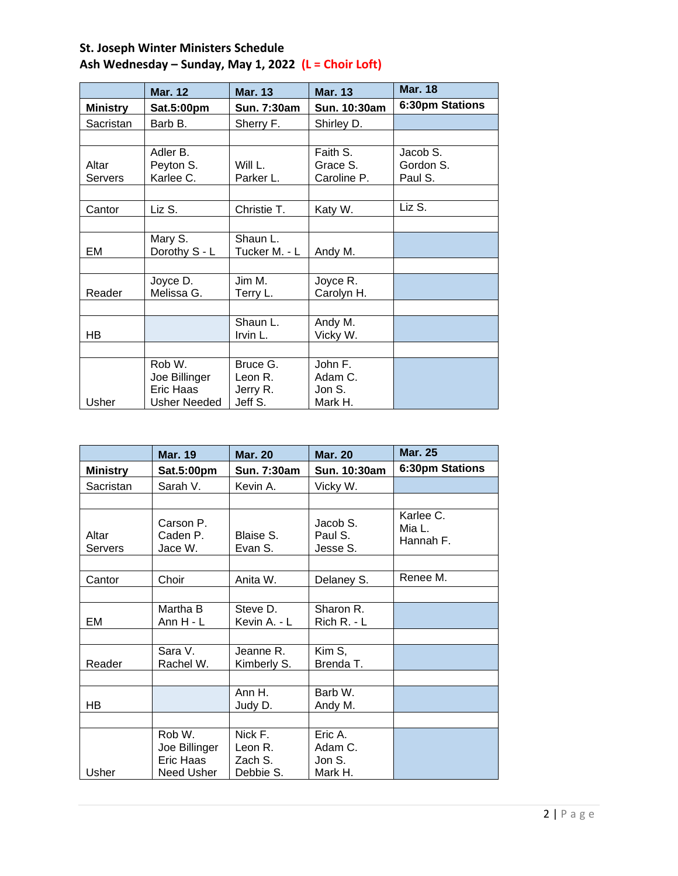|                 | <b>Mar. 12</b>      | <b>Mar. 13</b> | <b>Mar. 13</b> | <b>Mar. 18</b>  |
|-----------------|---------------------|----------------|----------------|-----------------|
| <b>Ministry</b> | Sat.5:00pm          | Sun. 7:30am    | Sun. 10:30am   | 6:30pm Stations |
| Sacristan       | Barb B.             | Sherry F.      | Shirley D.     |                 |
|                 |                     |                |                |                 |
|                 | Adler B.            |                | Faith S.       | Jacob S.        |
| Altar           | Peyton S.           | Will L.        | Grace S.       | Gordon S.       |
| Servers         | Karlee C.           | Parker L.      | Caroline P.    | Paul S.         |
|                 |                     |                |                |                 |
| Cantor          | Liz S.              | Christie T.    | Katy W.        | Liz S.          |
|                 |                     |                |                |                 |
|                 | Mary S.             | Shaun L.       |                |                 |
| EM              | Dorothy S - L       | Tucker M. - L  | Andy M.        |                 |
|                 |                     |                |                |                 |
|                 | Joyce D.            | Jim M.         | Joyce R.       |                 |
| Reader          | Melissa G.          | Terry L.       | Carolyn H.     |                 |
|                 |                     |                |                |                 |
|                 |                     | Shaun L.       | Andy M.        |                 |
| HВ              |                     | Irvin L.       | Vicky W.       |                 |
|                 |                     |                |                |                 |
|                 | Rob W.              | Bruce G.       | John F.        |                 |
|                 | Joe Billinger       | Leon R.        | Adam C.        |                 |
|                 | Eric Haas           | Jerry R.       | Jon S.         |                 |
| Usher           | <b>Usher Needed</b> | Jeff S.        | Mark H.        |                 |

|                  | <b>Mar. 19</b>                                     | <b>Mar. 20</b>                             | <b>Mar. 20</b>                          | <b>Mar. 25</b>                   |
|------------------|----------------------------------------------------|--------------------------------------------|-----------------------------------------|----------------------------------|
| <b>Ministry</b>  | Sat.5:00pm                                         | Sun. 7:30am                                | Sun. 10:30am                            | 6:30pm Stations                  |
| Sacristan        | Sarah V.                                           | Kevin A.                                   | Vicky W.                                |                                  |
|                  |                                                    |                                            |                                         |                                  |
| Altar<br>Servers | Carson P.<br>Caden P.<br>Jace W.                   | Blaise S.<br>Evan S.                       | Jacob S.<br>Paul S.<br>Jesse S.         | Karlee C.<br>Mia L.<br>Hannah F. |
|                  |                                                    |                                            |                                         |                                  |
| Cantor           | Choir                                              | Anita W.                                   | Delaney S.                              | Renee M.                         |
|                  |                                                    |                                            |                                         |                                  |
| EM               | Martha B<br>Ann $H - L$                            | Steve D.<br>Kevin A. - L                   | Sharon R.<br>$Rich R. - L$              |                                  |
|                  |                                                    |                                            |                                         |                                  |
| Reader           | Sara V.<br>Rachel W.                               | Jeanne R.<br>Kimberly S.                   | Kim S,<br>Brenda T.                     |                                  |
|                  |                                                    |                                            |                                         |                                  |
| HB               |                                                    | Ann H.<br>Judy D.                          | Barb W.<br>Andy M.                      |                                  |
|                  |                                                    |                                            |                                         |                                  |
| Usher            | Rob W.<br>Joe Billinger<br>Eric Haas<br>Need Usher | Nick F.<br>Leon R.<br>Zach S.<br>Debbie S. | Eric A.<br>Adam C.<br>Jon S.<br>Mark H. |                                  |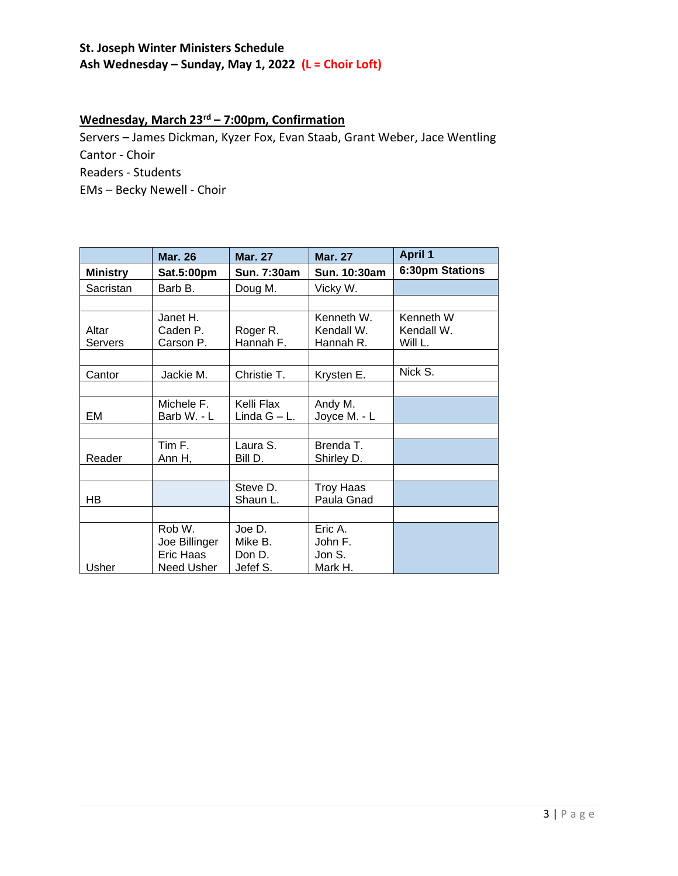#### **St. Joseph Winter Ministers Schedule Ash Wednesday – Sunday, May 1, 2022 (L = Choir Loft)**

### **Wednesday, March 23rd – 7:00pm, Confirmation**

Servers – James Dickman, Kyzer Fox, Evan Staab, Grant Weber, Jace Wentling Cantor - Choir Readers - Students EMs – Becky Newell - Choir

|                 | <b>Mar. 26</b> | <b>Mar. 27</b> | <b>Mar. 27</b>   | <b>April 1</b>  |
|-----------------|----------------|----------------|------------------|-----------------|
| <b>Ministry</b> | Sat.5:00pm     | Sun. 7:30am    | Sun. 10:30am     | 6:30pm Stations |
| Sacristan       | Barb B.        | Doug M.        | Vicky W.         |                 |
|                 |                |                |                  |                 |
|                 | Janet H.       |                | Kenneth W.       | Kenneth W       |
| Altar           | Caden P.       | Roger R.       | Kendall W.       | Kendall W.      |
| Servers         | Carson P.      | Hannah F.      | Hannah R.        | Will L.         |
|                 |                |                |                  |                 |
| Cantor          | Jackie M.      | Christie T.    | Krysten E.       | Nick S.         |
|                 |                |                |                  |                 |
|                 | Michele F.     | Kelli Flax     | Andy M.          |                 |
| EM              | Barb W. - L    | Linda G - L.   | Joyce M. - L     |                 |
|                 |                |                |                  |                 |
|                 | Tim F.         | Laura S.       | Brenda T.        |                 |
| Reader          | Ann H,         | Bill D.        | Shirley D.       |                 |
|                 |                |                |                  |                 |
|                 |                | Steve D.       | <b>Troy Haas</b> |                 |
| HB              |                | Shaun L.       | Paula Gnad       |                 |
|                 |                |                |                  |                 |
|                 | Rob W.         | Joe D.         | Eric A.          |                 |
|                 | Joe Billinger  | Mike B.        | John F.          |                 |
|                 | Eric Haas      | Don D.         | Jon S.           |                 |
| Usher           | Need Usher     | Jefef S.       | Mark H.          |                 |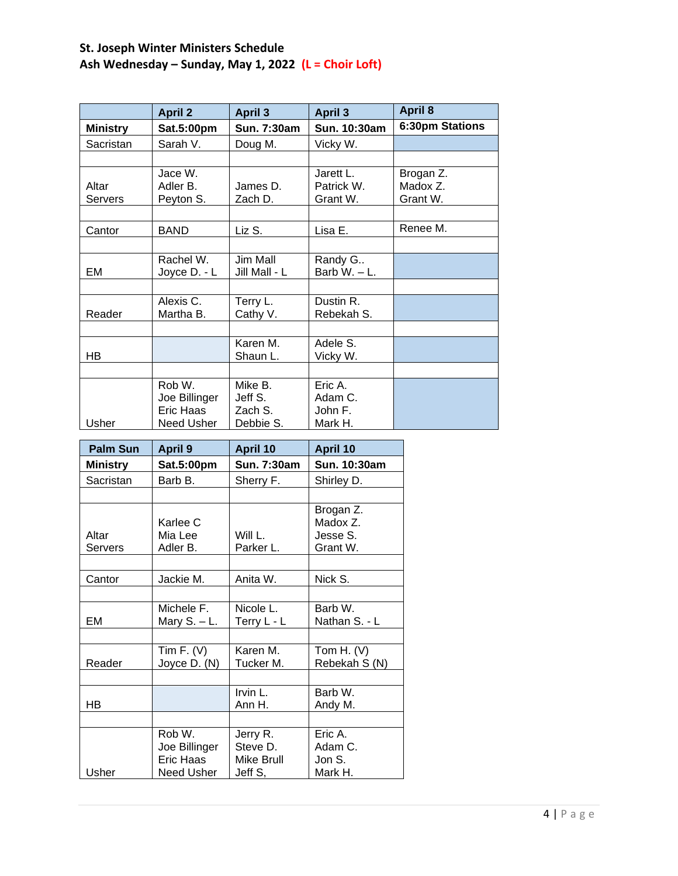# **St. Joseph Winter Ministers Schedule Ash Wednesday – Sunday, May 1, 2022 (L = Choir Loft)**

|                 | <b>April 2</b> | <b>April 3</b> | <b>April 3</b> | <b>April 8</b>  |
|-----------------|----------------|----------------|----------------|-----------------|
| <b>Ministry</b> | Sat.5:00pm     | Sun. 7:30am    | Sun. 10:30am   | 6:30pm Stations |
| Sacristan       | Sarah V.       | Doug M.        | Vicky W.       |                 |
|                 |                |                |                |                 |
|                 | Jace W.        |                | Jarett L.      | Brogan Z.       |
| Altar           | Adler B.       | James D.       | Patrick W.     | Madox Z.        |
| Servers         | Peyton S.      | Zach D.        | Grant W.       | Grant W.        |
|                 |                |                |                |                 |
| Cantor          | BAND           | Liz S.         | Lisa E.        | Renee M.        |
|                 |                |                |                |                 |
|                 | Rachel W.      | Jim Mall       | Randy G        |                 |
| EM              | Joyce D. - L   | Jill Mall - L  | Barb $W - L$ . |                 |
|                 |                |                |                |                 |
|                 | Alexis C.      | Terry L.       | Dustin R.      |                 |
| Reader          | Martha B.      | Cathy V.       | Rebekah S.     |                 |
|                 |                |                |                |                 |
|                 |                | Karen M.       | Adele S.       |                 |
| HB              |                | Shaun L.       | Vicky W.       |                 |
|                 |                |                |                |                 |
|                 | Rob W.         | Mike B.        | Eric A.        |                 |
|                 | Joe Billinger  | Jeff S.        | Adam C.        |                 |
|                 | Eric Haas      | Zach S.        | John F.        |                 |
| Usher           | Need Usher     | Debbie S.      | Mark H.        |                 |

| Palm Sun        | <b>April 9</b>   | April 10           | <b>April 10</b> |
|-----------------|------------------|--------------------|-----------------|
| <b>Ministry</b> | Sat.5:00pm       | <b>Sun. 7:30am</b> | Sun. 10:30am    |
| Sacristan       | Barb B.          | Sherry F.          | Shirley D.      |
|                 |                  |                    |                 |
|                 |                  |                    | Brogan Z.       |
|                 | Karlee C         |                    | Madox Z.        |
| Altar           | Mia Lee          | Will $L$ .         | Jesse S.        |
| Servers         | Adler B.         | Parker L.          | Grant W.        |
|                 |                  |                    |                 |
| Cantor          | Jackie M.        | Anita W.           | Nick S.         |
|                 |                  |                    |                 |
|                 | Michele F.       | Nicole L.          | Barb W.         |
| EМ              | Mary $S. - L.$   | Terry L - L        | Nathan S. - L   |
|                 |                  |                    |                 |
|                 | Tim F. $(V)$     | Karen M.           | Tom H. $(V)$    |
| Reader          | Joyce D. (N)     | Tucker M.          | Rebekah S (N)   |
|                 |                  |                    |                 |
|                 |                  | Irvin L.           | Barb W.         |
| НB              |                  | Ann H.             | Andy M.         |
|                 |                  |                    |                 |
|                 | Rob W.           | Jerry R.           | Eric A.         |
|                 | Joe Billinger    | Steve D.           | Adam C.         |
|                 | <b>Eric Haas</b> | Mike Brull         | Jon S.          |
| Usher           | Need Usher       | Jeff S,            | Mark H.         |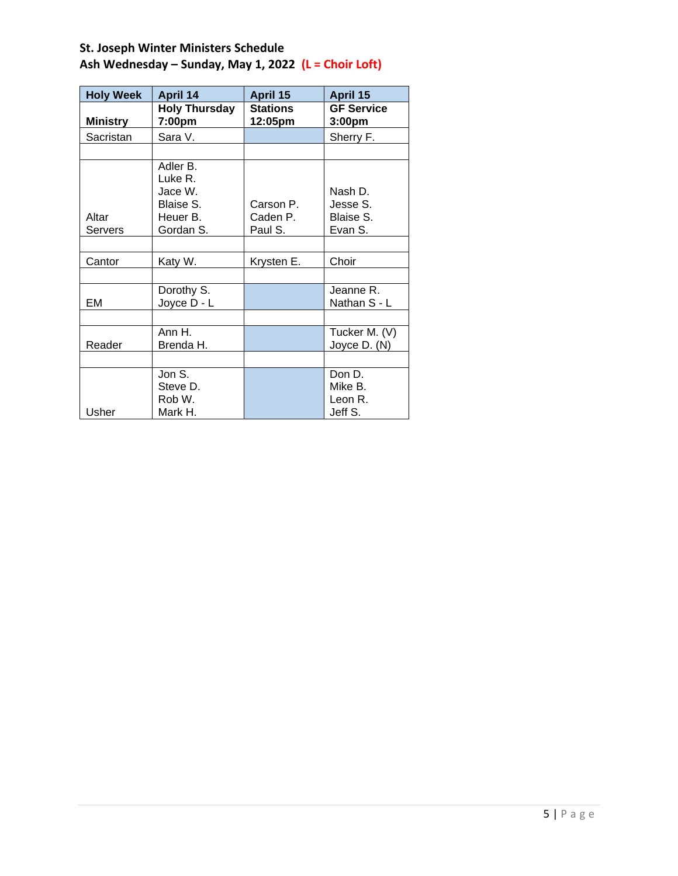| <b>Holy Week</b> | <b>April 14</b>                                          | April 15                         | April 15                                    |
|------------------|----------------------------------------------------------|----------------------------------|---------------------------------------------|
| <b>Ministry</b>  | <b>Holy Thursday</b><br>7:00pm                           | <b>Stations</b><br>12:05pm       | <b>GF Service</b><br>3:00pm                 |
| Sacristan        | Sara V.                                                  |                                  | Sherry F.                                   |
|                  |                                                          |                                  |                                             |
|                  | Adler B.                                                 |                                  |                                             |
| Altar<br>Servers | Luke R.<br>Jace W.<br>Blaise S.<br>Heuer B.<br>Gordan S. | Carson P.<br>Caden P.<br>Paul S. | Nash D.<br>Jesse S.<br>Blaise S.<br>Evan S. |
|                  |                                                          |                                  |                                             |
| Cantor           | Katy W.                                                  | Krysten E.                       | Choir                                       |
|                  |                                                          |                                  |                                             |
| EM               | Dorothy S.<br>Joyce D - L                                |                                  | Jeanne R.<br>Nathan S - L                   |
|                  |                                                          |                                  |                                             |
| Reader           | Ann H.<br>Brenda H.                                      |                                  | Tucker M. (V)<br>Joyce D. (N)               |
|                  |                                                          |                                  |                                             |
| Usher            | Jon S.<br>Steve D.<br>Rob W.<br>Mark H.                  |                                  | Don D.<br>Mike B.<br>Leon R.<br>Jeff S.     |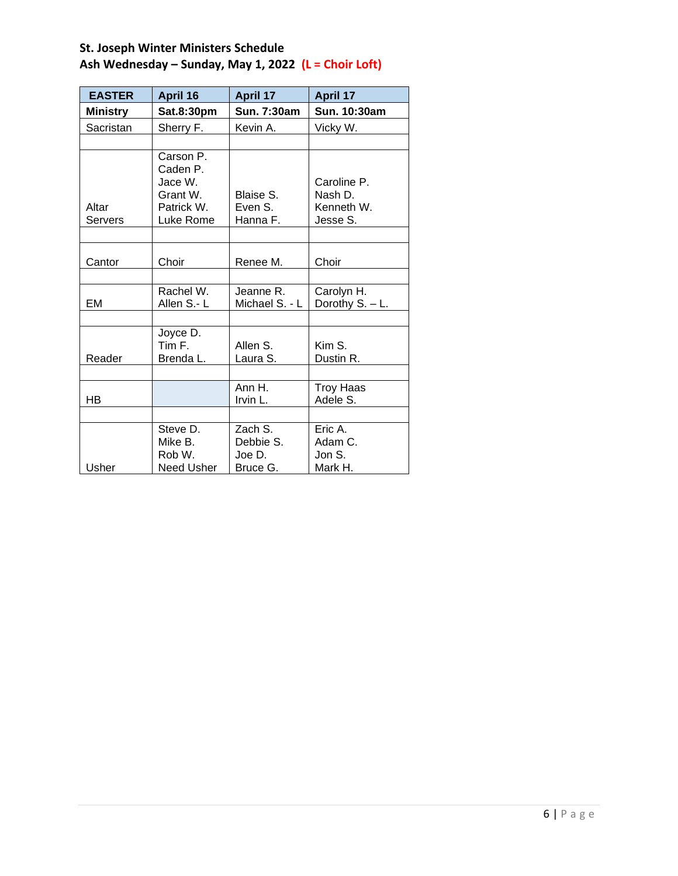| <b>EASTER</b>   | April 16          | <b>April 17</b>     | <b>April 17</b>  |
|-----------------|-------------------|---------------------|------------------|
| <b>Ministry</b> | Sat.8:30pm        | Sun. 7:30am         | Sun. 10:30am     |
| Sacristan       | Sherry F.         | Kevin A.            | Vicky W.         |
|                 |                   |                     |                  |
|                 | Carson P.         |                     |                  |
|                 | Caden P.          |                     |                  |
|                 | Jace W.           |                     | Caroline P.      |
|                 | Grant W.          | Blaise S.           | Nash D.          |
| Altar           | Patrick W.        | Even S.<br>Hanna F. | Kenneth W.       |
| Servers         | Luke Rome         |                     | Jesse S.         |
|                 |                   |                     |                  |
| Cantor          | Choir             | Renee M.            | Choir            |
|                 |                   |                     |                  |
|                 | Rachel W.         | Jeanne R.           | Carolyn H.       |
| EM              | Allen S.- L       | Michael S. - L      | Dorothy S. - L.  |
|                 |                   |                     |                  |
|                 | Joyce D.          |                     |                  |
|                 | Tim F.            | Allen S.            | Kim S.           |
| Reader          | Brenda L.         | Laura S.            | Dustin R.        |
|                 |                   |                     |                  |
|                 |                   | Ann $H.$            | <b>Troy Haas</b> |
| HB              |                   | Irvin L.            | Adele S.         |
|                 |                   |                     |                  |
|                 | Steve D.          | Zach S.             | Eric A.          |
|                 | Mike B.           | Debbie S.           | Adam C.          |
|                 | Rob W.            | Joe D.              | Jon S.           |
| Usher           | <b>Need Usher</b> | Bruce G.            | Mark H.          |